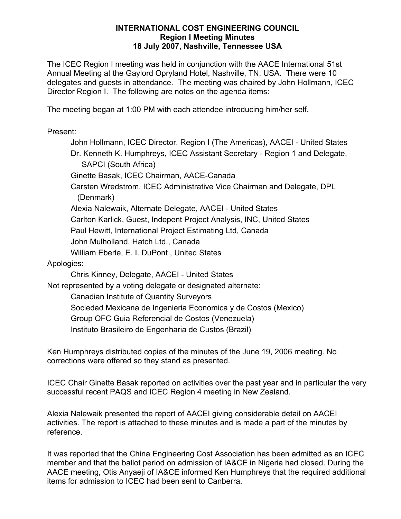#### **INTERNATIONAL COST ENGINEERING COUNCIL Region I Meeting Minutes 18 July 2007, Nashville, Tennessee USA**

The ICEC Region I meeting was held in conjunction with the AACE International 51st Annual Meeting at the Gaylord Opryland Hotel, Nashville, TN, USA. There were 10 delegates and guests in attendance. The meeting was chaired by John Hollmann, ICEC Director Region I. The following are notes on the agenda items:

The meeting began at 1:00 PM with each attendee introducing him/her self.

Present:

John Hollmann, ICEC Director, Region I (The Americas), AACEI - United States Dr. Kenneth K. Humphreys, ICEC Assistant Secretary - Region 1 and Delegate, SAPCI (South Africa) Ginette Basak, ICEC Chairman, AACE-Canada Carsten Wredstrom, ICEC Administrative Vice Chairman and Delegate, DPL (Denmark) Alexia Nalewaik, Alternate Delegate, AACEI - United States Carlton Karlick, Guest, Indepent Project Analysis, INC, United States Paul Hewitt, International Project Estimating Ltd, Canada John Mulholland, Hatch Ltd., Canada William Eberle, E. I. DuPont , United States Apologies: Chris Kinney, Delegate, AACEI - United States Not represented by a voting delegate or designated alternate: Canadian Institute of Quantity Surveyors Sociedad Mexicana de Ingenieria Economica y de Costos (Mexico)

Group OFC Guia Referencial de Costos (Venezuela)

Instituto Brasileiro de Engenharia de Custos (Brazil)

Ken Humphreys distributed copies of the minutes of the June 19, 2006 meeting. No corrections were offered so they stand as presented.

ICEC Chair Ginette Basak reported on activities over the past year and in particular the very successful recent PAQS and ICEC Region 4 meeting in New Zealand.

Alexia Nalewaik presented the report of AACEI giving considerable detail on AACEI activities. The report is attached to these minutes and is made a part of the minutes by reference.

It was reported that the China Engineering Cost Association has been admitted as an ICEC member and that the ballot period on admission of IA&CE in Nigeria had closed. During the AACE meeting, Otis Anyaeji of IA&CE informed Ken Humphreys that the required additional items for admission to ICEC had been sent to Canberra.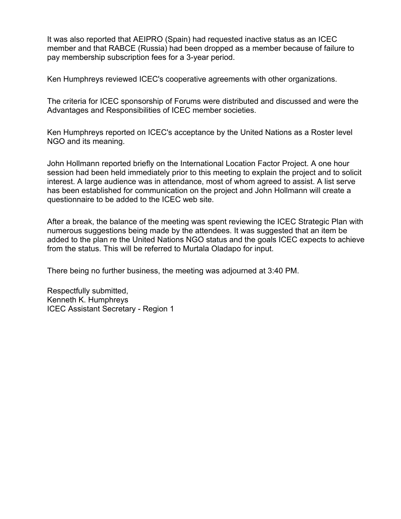It was also reported that AEIPRO (Spain) had requested inactive status as an ICEC member and that RABCE (Russia) had been dropped as a member because of failure to pay membership subscription fees for a 3-year period.

Ken Humphreys reviewed ICEC's cooperative agreements with other organizations.

The criteria for ICEC sponsorship of Forums were distributed and discussed and were the Advantages and Responsibilities of ICEC member societies.

Ken Humphreys reported on ICEC's acceptance by the United Nations as a Roster level NGO and its meaning.

John Hollmann reported briefly on the International Location Factor Project. A one hour session had been held immediately prior to this meeting to explain the project and to solicit interest. A large audience was in attendance, most of whom agreed to assist. A list serve has been established for communication on the project and John Hollmann will create a questionnaire to be added to the ICEC web site.

After a break, the balance of the meeting was spent reviewing the ICEC Strategic Plan with numerous suggestions being made by the attendees. It was suggested that an item be added to the plan re the United Nations NGO status and the goals ICEC expects to achieve from the status. This will be referred to Murtala Oladapo for input.

There being no further business, the meeting was adjourned at 3:40 PM.

Respectfully submitted, Kenneth K. Humphreys ICEC Assistant Secretary - Region 1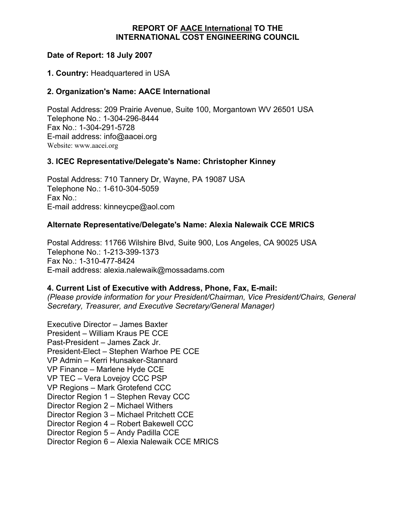## **REPORT OF AACE International TO THE INTERNATIONAL COST ENGINEERING COUNCIL**

## **Date of Report: 18 July 2007**

### **1. Country:** Headquartered in USA

## **2. Organization's Name: AACE International**

Postal Address: 209 Prairie Avenue, Suite 100, Morgantown WV 26501 USA Telephone No.: 1-304-296-8444 Fax No.: 1-304-291-5728 E-mail address: info@aacei.org Website: www.aacei.org

## **3. ICEC Representative/Delegate's Name: Christopher Kinney**

Postal Address: 710 Tannery Dr, Wayne, PA 19087 USA Telephone No.: 1-610-304-5059 Fax No.: E-mail address: kinneycpe@aol.com

## **Alternate Representative/Delegate's Name: Alexia Nalewaik CCE MRICS**

Postal Address: 11766 Wilshire Blvd, Suite 900, Los Angeles, CA 90025 USA Telephone No.: 1-213-399-1373 Fax No.: 1-310-477-8424 E-mail address: alexia.nalewaik@mossadams.com

### **4. Current List of Executive with Address, Phone, Fax, E-mail:**

*(Please provide information for your President/Chairman, Vice President/Chairs, General Secretary, Treasurer, and Executive Secretary/General Manager)*

Executive Director – James Baxter President – William Kraus PE CCE Past-President – James Zack Jr. President-Elect – Stephen Warhoe PE CCE VP Admin – Kerri Hunsaker-Stannard VP Finance – Marlene Hyde CCE VP TEC – Vera Lovejoy CCC PSP VP Regions – Mark Grotefend CCC Director Region 1 – Stephen Revay CCC Director Region 2 – Michael Withers Director Region 3 – Michael Pritchett CCE Director Region 4 – Robert Bakewell CCC Director Region 5 – Andy Padilla CCE Director Region 6 – Alexia Nalewaik CCE MRICS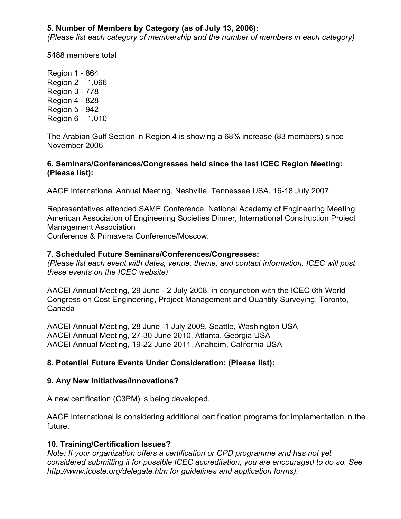# **5. Number of Members by Category (as of July 13, 2006):**

*(Please list each category of membership and the number of members in each category)*

5488 members total

Region 1 - 864 Region 2 – 1,066 Region 3 - 778 Region 4 - 828 Region 5 - 942 Region 6 – 1,010

The Arabian Gulf Section in Region 4 is showing a 68% increase (83 members) since November 2006.

#### **6. Seminars/Conferences/Congresses held since the last ICEC Region Meeting: (Please list):**

AACE International Annual Meeting, Nashville, Tennessee USA, 16-18 July 2007

Representatives attended SAME Conference, National Academy of Engineering Meeting, American Association of Engineering Societies Dinner, International Construction Project Management Association

Conference & Primavera Conference/Moscow.

#### **7. Scheduled Future Seminars/Conferences/Congresses:**

*(Please list each event with dates, venue, theme, and contact information. ICEC will post these events on the ICEC website)*

AACEI Annual Meeting, 29 June - 2 July 2008, in conjunction with the ICEC 6th World Congress on Cost Engineering, Project Management and Quantity Surveying, Toronto, Canada

AACEI Annual Meeting, 28 June -1 July 2009, Seattle, Washington USA AACEI Annual Meeting, 27-30 June 2010, Atlanta, Georgia USA AACEI Annual Meeting, 19-22 June 2011, Anaheim, California USA

### **8. Potential Future Events Under Consideration: (Please list):**

### **9. Any New Initiatives/Innovations?**

A new certification (C3PM) is being developed.

AACE International is considering additional certification programs for implementation in the future.

### **10. Training/Certification Issues?**

*Note: If your organization offers a certification or CPD programme and has not yet considered submitting it for possible ICEC accreditation, you are encouraged to do so. See http://www.icoste.org/delegate.htm for guidelines and application forms).*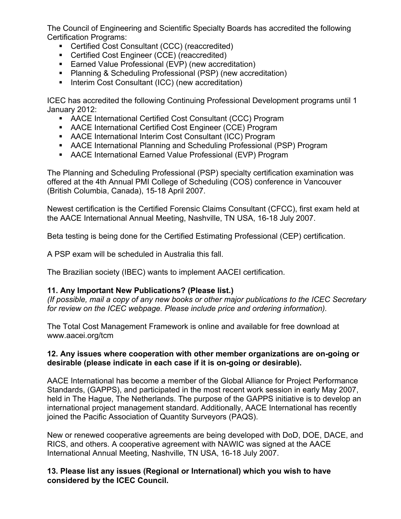The Council of Engineering and Scientific Specialty Boards has accredited the following Certification Programs:

- Certified Cost Consultant (CCC) (reaccredited)
- **EXECUTE:** Certified Cost Engineer (CCE) (reaccredited)
- **Earned Value Professional (EVP) (new accreditation)**
- Planning & Scheduling Professional (PSP) (new accreditation)
- Interim Cost Consultant (ICC) (new accreditation)

ICEC has accredited the following Continuing Professional Development programs until 1 January 2012:

- AACE International Certified Cost Consultant (CCC) Program
- AACE International Certified Cost Engineer (CCE) Program
- AACE International Interim Cost Consultant (ICC) Program
- AACE International Planning and Scheduling Professional (PSP) Program
- AACE International Earned Value Professional (EVP) Program

The Planning and Scheduling Professional (PSP) specialty certification examination was offered at the 4th Annual PMI College of Scheduling (COS) conference in Vancouver (British Columbia, Canada), 15-18 April 2007.

Newest certification is the Certified Forensic Claims Consultant (CFCC), first exam held at the AACE International Annual Meeting, Nashville, TN USA, 16-18 July 2007.

Beta testing is being done for the Certified Estimating Professional (CEP) certification.

A PSP exam will be scheduled in Australia this fall.

The Brazilian society (IBEC) wants to implement AACEI certification.

### **11. Any Important New Publications? (Please list.)**

*(If possible, mail a copy of any new books or other major publications to the ICEC Secretary for review on the ICEC webpage. Please include price and ordering information).*

The Total Cost Management Framework is online and available for free download at www.aacei.org/tcm

## **12. Any issues where cooperation with other member organizations are on-going or desirable (please indicate in each case if it is on-going or desirable).**

AACE International has become a member of the Global Alliance for Project Performance Standards, (GAPPS), and participated in the most recent work session in early May 2007, held in The Hague, The Netherlands. The purpose of the GAPPS initiative is to develop an international project management standard. Additionally, AACE International has recently joined the Pacific Association of Quantity Surveyors (PAQS).

New or renewed cooperative agreements are being developed with DoD, DOE, DACE, and RICS, and others. A cooperative agreement with NAWIC was signed at the AACE International Annual Meeting, Nashville, TN USA, 16-18 July 2007.

**13. Please list any issues (Regional or International) which you wish to have considered by the ICEC Council.**